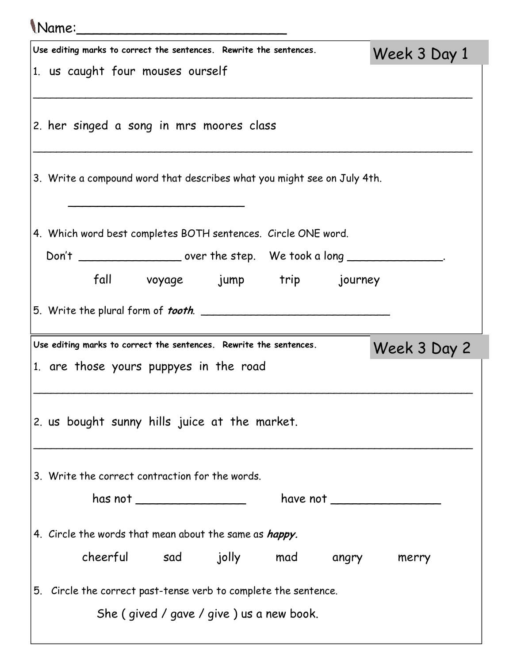| Mame:                                                                              |                                                                                           |              |  |  |  |
|------------------------------------------------------------------------------------|-------------------------------------------------------------------------------------------|--------------|--|--|--|
|                                                                                    | Use editing marks to correct the sentences. Rewrite the sentences.                        | Week 3 Day 1 |  |  |  |
|                                                                                    | 1. us caught four mouses ourself                                                          |              |  |  |  |
|                                                                                    | 2. her singed a song in mrs moores class                                                  |              |  |  |  |
|                                                                                    | 3. Write a compound word that describes what you might see on July 4th.                   |              |  |  |  |
|                                                                                    | 4. Which word best completes BOTH sentences. Circle ONE word.                             |              |  |  |  |
|                                                                                    | Don't ____________________ over the step. We took a long _________________                |              |  |  |  |
|                                                                                    | fall voyage jump trip journey                                                             |              |  |  |  |
|                                                                                    |                                                                                           |              |  |  |  |
| Use editing marks to correct the sentences. Rewrite the sentences.<br>Week 3 Day 2 |                                                                                           |              |  |  |  |
|                                                                                    | 1. are those yours puppyes in the road                                                    |              |  |  |  |
|                                                                                    | 2. us bought sunny hills juice at the market.                                             |              |  |  |  |
|                                                                                    | 3. Write the correct contraction for the words.                                           |              |  |  |  |
|                                                                                    | has not ____________________<br>have not $\overline{\phantom{a} \phantom{a} \phantom{a}}$ |              |  |  |  |
|                                                                                    | 4. Circle the words that mean about the same as <i>happy</i> .                            |              |  |  |  |
|                                                                                    | cheerful sad jolly mad angry                                                              | merry        |  |  |  |
|                                                                                    | 5. Circle the correct past-tense verb to complete the sentence.                           |              |  |  |  |
|                                                                                    | She (gived / gave / give) us a new book.                                                  |              |  |  |  |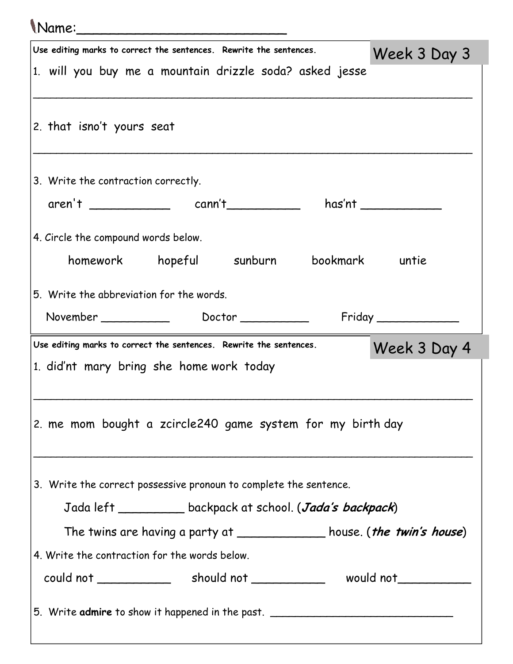## Name:\_\_\_\_\_\_\_\_\_\_\_\_\_\_\_\_\_\_\_\_\_\_\_\_\_

| Use editing marks to correct the sentences. Rewrite the sentences.                 | Week 3 Day 3          |  |  |  |
|------------------------------------------------------------------------------------|-----------------------|--|--|--|
| 1. will you buy me a mountain drizzle soda? asked jesse                            |                       |  |  |  |
|                                                                                    |                       |  |  |  |
| 2. that isno't yours seat                                                          |                       |  |  |  |
|                                                                                    |                       |  |  |  |
| 3. Write the contraction correctly.                                                |                       |  |  |  |
| $\text{aren}^{\dagger}$ $\begin{array}{ccc}\n & \text{cann't}\n\end{array}$        | has'nt ______________ |  |  |  |
| 4. Circle the compound words below.                                                |                       |  |  |  |
| homework hopeful sunburn                                                           | bookmark untie        |  |  |  |
|                                                                                    |                       |  |  |  |
| 5. Write the abbreviation for the words.                                           |                       |  |  |  |
|                                                                                    | Friday                |  |  |  |
| Use editing marks to correct the sentences. Rewrite the sentences.<br>Week 3 Day 4 |                       |  |  |  |
| 1. did'nt mary bring she home work today                                           |                       |  |  |  |
|                                                                                    |                       |  |  |  |
| 2. me mom bought a zcircle240 game system for my birth day                         |                       |  |  |  |
|                                                                                    |                       |  |  |  |
|                                                                                    |                       |  |  |  |
| 3. Write the correct possessive pronoun to complete the sentence.                  |                       |  |  |  |
| Jada left ______________ backpack at school. (Jada's backpack)                     |                       |  |  |  |
| The twins are having a party at ______________ house. ( <i>the twin's house</i> )  |                       |  |  |  |
|                                                                                    |                       |  |  |  |
| 4. Write the contraction for the words below.                                      |                       |  |  |  |
|                                                                                    |                       |  |  |  |
|                                                                                    |                       |  |  |  |
| 5. Write admire to show it happened in the past.                                   |                       |  |  |  |